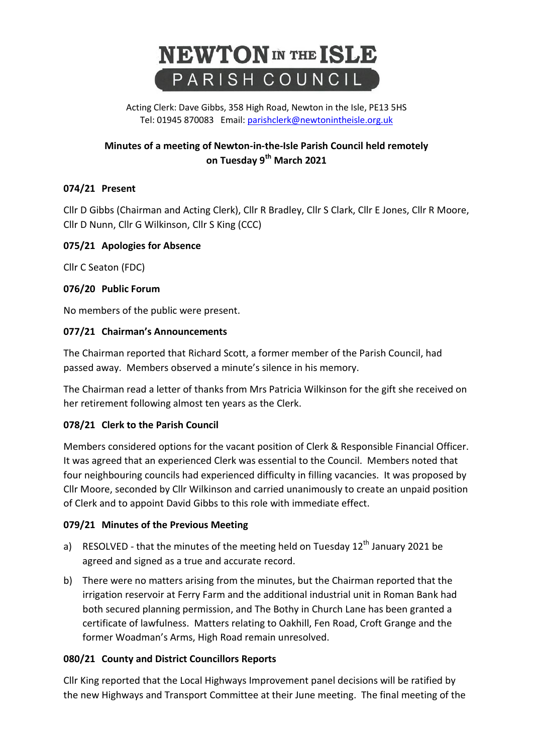

Acting Clerk: Dave Gibbs, 358 High Road, Newton in the Isle, PE13 5HS Tel: 01945 870083 Email: [parishclerk@newtonintheisle.org.uk](mailto:parishclerk@newtonintheisle.org.uk)

# **Minutes of a meeting of Newton-in-the-Isle Parish Council held remotely on Tuesday 9th March 2021**

### **074/21 Present**

Cllr D Gibbs (Chairman and Acting Clerk), Cllr R Bradley, Cllr S Clark, Cllr E Jones, Cllr R Moore, Cllr D Nunn, Cllr G Wilkinson, Cllr S King (CCC)

### **075/21 Apologies for Absence**

Cllr C Seaton (FDC)

### **076/20 Public Forum**

No members of the public were present.

### **077/21 Chairman's Announcements**

The Chairman reported that Richard Scott, a former member of the Parish Council, had passed away. Members observed a minute's silence in his memory.

The Chairman read a letter of thanks from Mrs Patricia Wilkinson for the gift she received on her retirement following almost ten years as the Clerk.

## **078/21 Clerk to the Parish Council**

Members considered options for the vacant position of Clerk & Responsible Financial Officer. It was agreed that an experienced Clerk was essential to the Council. Members noted that four neighbouring councils had experienced difficulty in filling vacancies. It was proposed by Cllr Moore, seconded by Cllr Wilkinson and carried unanimously to create an unpaid position of Clerk and to appoint David Gibbs to this role with immediate effect.

#### **079/21 Minutes of the Previous Meeting**

- a) RESOLVED that the minutes of the meeting held on Tuesday  $12<sup>th</sup>$  January 2021 be agreed and signed as a true and accurate record.
- b) There were no matters arising from the minutes, but the Chairman reported that the irrigation reservoir at Ferry Farm and the additional industrial unit in Roman Bank had both secured planning permission, and The Bothy in Church Lane has been granted a certificate of lawfulness. Matters relating to Oakhill, Fen Road, Croft Grange and the former Woadman's Arms, High Road remain unresolved.

## **080/21 County and District Councillors Reports**

Cllr King reported that the Local Highways Improvement panel decisions will be ratified by the new Highways and Transport Committee at their June meeting. The final meeting of the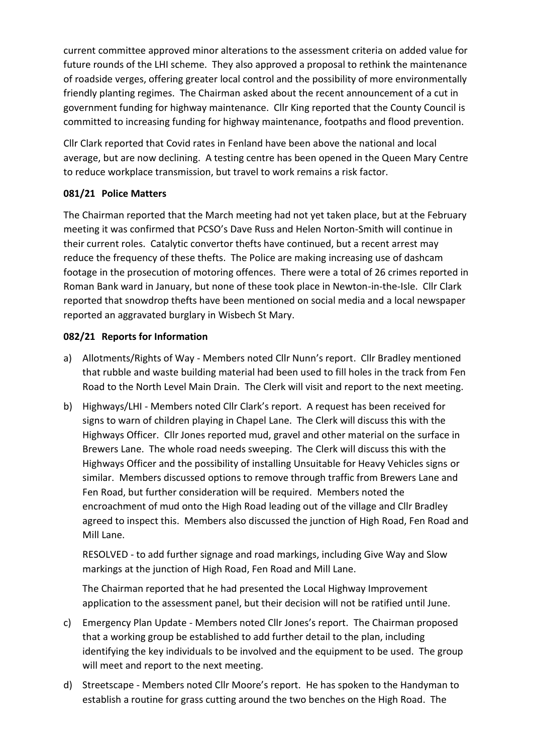current committee approved minor alterations to the assessment criteria on added value for future rounds of the LHI scheme. They also approved a proposal to rethink the maintenance of roadside verges, offering greater local control and the possibility of more environmentally friendly planting regimes. The Chairman asked about the recent announcement of a cut in government funding for highway maintenance. Cllr King reported that the County Council is committed to increasing funding for highway maintenance, footpaths and flood prevention.

Cllr Clark reported that Covid rates in Fenland have been above the national and local average, but are now declining. A testing centre has been opened in the Queen Mary Centre to reduce workplace transmission, but travel to work remains a risk factor.

## **081/21 Police Matters**

The Chairman reported that the March meeting had not yet taken place, but at the February meeting it was confirmed that PCSO's Dave Russ and Helen Norton-Smith will continue in their current roles. Catalytic convertor thefts have continued, but a recent arrest may reduce the frequency of these thefts. The Police are making increasing use of dashcam footage in the prosecution of motoring offences. There were a total of 26 crimes reported in Roman Bank ward in January, but none of these took place in Newton-in-the-Isle. Cllr Clark reported that snowdrop thefts have been mentioned on social media and a local newspaper reported an aggravated burglary in Wisbech St Mary.

### **082/21 Reports for Information**

- a) Allotments/Rights of Way Members noted Cllr Nunn's report. Cllr Bradley mentioned that rubble and waste building material had been used to fill holes in the track from Fen Road to the North Level Main Drain. The Clerk will visit and report to the next meeting.
- b) Highways/LHI Members noted Cllr Clark's report. A request has been received for signs to warn of children playing in Chapel Lane. The Clerk will discuss this with the Highways Officer. Cllr Jones reported mud, gravel and other material on the surface in Brewers Lane. The whole road needs sweeping. The Clerk will discuss this with the Highways Officer and the possibility of installing Unsuitable for Heavy Vehicles signs or similar. Members discussed options to remove through traffic from Brewers Lane and Fen Road, but further consideration will be required. Members noted the encroachment of mud onto the High Road leading out of the village and Cllr Bradley agreed to inspect this. Members also discussed the junction of High Road, Fen Road and Mill Lane.

RESOLVED - to add further signage and road markings, including Give Way and Slow markings at the junction of High Road, Fen Road and Mill Lane.

The Chairman reported that he had presented the Local Highway Improvement application to the assessment panel, but their decision will not be ratified until June.

- c) Emergency Plan Update Members noted Cllr Jones's report. The Chairman proposed that a working group be established to add further detail to the plan, including identifying the key individuals to be involved and the equipment to be used. The group will meet and report to the next meeting.
- d) Streetscape Members noted Cllr Moore's report. He has spoken to the Handyman to establish a routine for grass cutting around the two benches on the High Road. The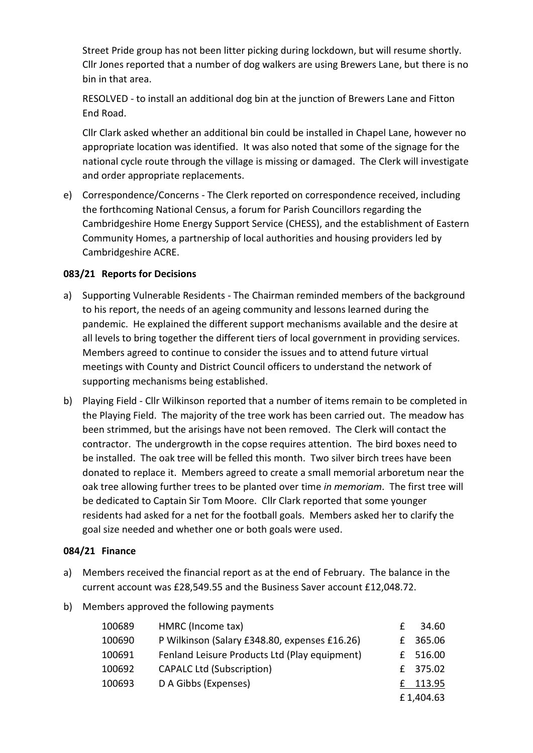Street Pride group has not been litter picking during lockdown, but will resume shortly. Cllr Jones reported that a number of dog walkers are using Brewers Lane, but there is no bin in that area.

RESOLVED - to install an additional dog bin at the junction of Brewers Lane and Fitton End Road.

Cllr Clark asked whether an additional bin could be installed in Chapel Lane, however no appropriate location was identified. It was also noted that some of the signage for the national cycle route through the village is missing or damaged. The Clerk will investigate and order appropriate replacements.

e) Correspondence/Concerns - The Clerk reported on correspondence received, including the forthcoming National Census, a forum for Parish Councillors regarding the Cambridgeshire Home Energy Support Service (CHESS), and the establishment of Eastern Community Homes, a partnership of local authorities and housing providers led by Cambridgeshire ACRE.

### **083/21 Reports for Decisions**

- a) Supporting Vulnerable Residents The Chairman reminded members of the background to his report, the needs of an ageing community and lessons learned during the pandemic. He explained the different support mechanisms available and the desire at all levels to bring together the different tiers of local government in providing services. Members agreed to continue to consider the issues and to attend future virtual meetings with County and District Council officers to understand the network of supporting mechanisms being established.
- b) Playing Field Cllr Wilkinson reported that a number of items remain to be completed in the Playing Field. The majority of the tree work has been carried out. The meadow has been strimmed, but the arisings have not been removed. The Clerk will contact the contractor. The undergrowth in the copse requires attention. The bird boxes need to be installed. The oak tree will be felled this month. Two silver birch trees have been donated to replace it. Members agreed to create a small memorial arboretum near the oak tree allowing further trees to be planted over time *in memoriam*. The first tree will be dedicated to Captain Sir Tom Moore. Cllr Clark reported that some younger residents had asked for a net for the football goals. Members asked her to clarify the goal size needed and whether one or both goals were used.

#### **084/21 Finance**

- a) Members received the financial report as at the end of February. The balance in the current account was £28,549.55 and the Business Saver account £12,048.72.
- b) Members approved the following payments

| 100689 | HMRC (Income tax)                             | 34.60     |
|--------|-----------------------------------------------|-----------|
| 100690 | P Wilkinson (Salary £348.80, expenses £16.26) | £ 365.06  |
| 100691 | Fenland Leisure Products Ltd (Play equipment) | £ 516.00  |
| 100692 | <b>CAPALC Ltd (Subscription)</b>              | £ 375.02  |
| 100693 | D A Gibbs (Expenses)                          | £ 113.95  |
|        |                                               | £1,404.63 |